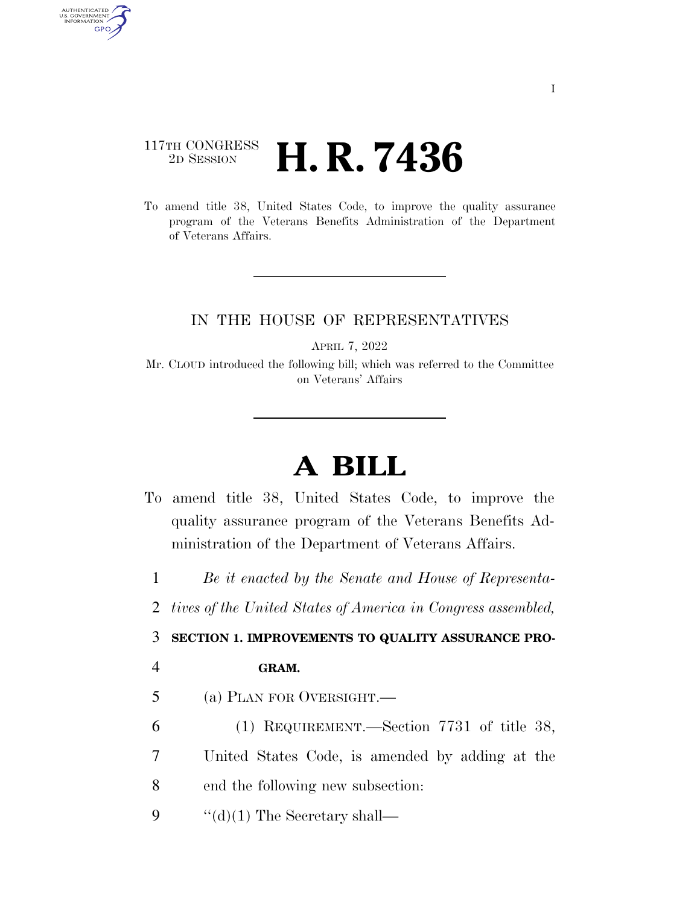## 117TH CONGRESS <sup>2D SESSION</sup> **H. R. 7436**

To amend title 38, United States Code, to improve the quality assurance program of the Veterans Benefits Administration of the Department of Veterans Affairs.

## IN THE HOUSE OF REPRESENTATIVES

APRIL 7, 2022

Mr. CLOUD introduced the following bill; which was referred to the Committee on Veterans' Affairs

## **A BILL**

To amend title 38, United States Code, to improve the quality assurance program of the Veterans Benefits Administration of the Department of Veterans Affairs.

1 *Be it enacted by the Senate and House of Representa-*

2 *tives of the United States of America in Congress assembled,* 

3 **SECTION 1. IMPROVEMENTS TO QUALITY ASSURANCE PRO-**

AUTHENTICATED<br>U.S. GOVERNMENT<br>INFORMATION GPO

## 4 **GRAM.**

- 5 (a) PLAN FOR OVERSIGHT.—
- 6 (1) REQUIREMENT.—Section 7731 of title 38,
- 7 United States Code, is amended by adding at the
- 8 end the following new subsection:
- 9  $\cdot$  "(d)(1) The Secretary shall—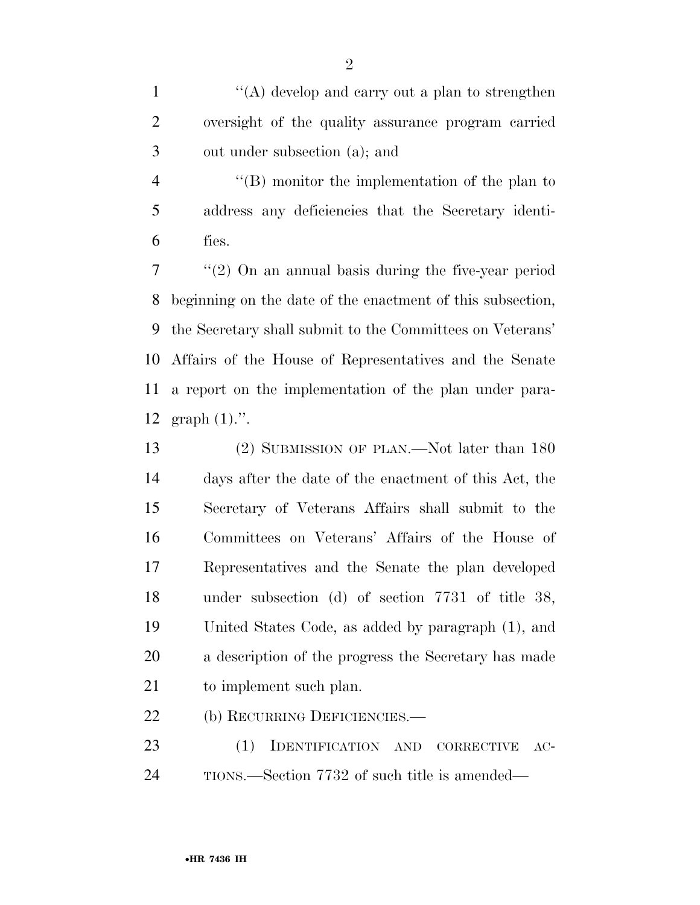1 ''(A) develop and carry out a plan to strengthen oversight of the quality assurance program carried out under subsection (a); and

 ''(B) monitor the implementation of the plan to address any deficiencies that the Secretary identi-fies.

 ''(2) On an annual basis during the five-year period beginning on the date of the enactment of this subsection, the Secretary shall submit to the Committees on Veterans' Affairs of the House of Representatives and the Senate a report on the implementation of the plan under para-graph (1).''.

 (2) SUBMISSION OF PLAN.—Not later than 180 days after the date of the enactment of this Act, the Secretary of Veterans Affairs shall submit to the Committees on Veterans' Affairs of the House of Representatives and the Senate the plan developed under subsection (d) of section 7731 of title 38, United States Code, as added by paragraph (1), and a description of the progress the Secretary has made to implement such plan.

22 (b) RECURRING DEFICIENCIES.

 (1) IDENTIFICATION AND CORRECTIVE AC-TIONS.—Section 7732 of such title is amended—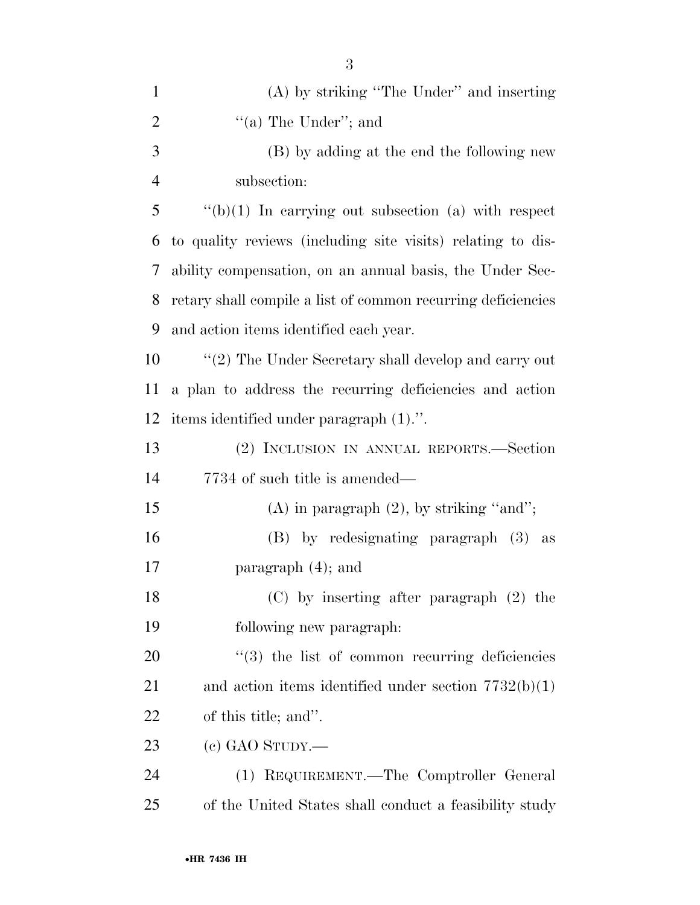| $\mathbf{1}$   | (A) by striking "The Under" and inserting                    |
|----------------|--------------------------------------------------------------|
| $\overline{2}$ | "(a) The Under"; and                                         |
| 3              | (B) by adding at the end the following new                   |
| $\overline{4}$ | subsection:                                                  |
| 5              | $\lq\lq(b)(1)$ In carrying out subsection (a) with respect   |
| 6              | to quality reviews (including site visits) relating to dis-  |
| 7              | ability compensation, on an annual basis, the Under Sec-     |
| 8              | retary shall compile a list of common recurring deficiencies |
| 9              | and action items identified each year.                       |
| 10             | $\lq(2)$ The Under Secretary shall develop and carry out     |
| 11             | a plan to address the recurring deficiencies and action      |
| 12             | items identified under paragraph (1).".                      |
| 13             | (2) INCLUSION IN ANNUAL REPORTS.—Section                     |
| 14             | 7734 of such title is amended—                               |
| 15             | $(A)$ in paragraph $(2)$ , by striking "and";                |
| 16             | (B) by redesignating paragraph (3) as                        |
| 17             | paragraph $(4)$ ; and                                        |
| 18             | $(C)$ by inserting after paragraph $(2)$ the                 |
| 19             | following new paragraph.                                     |
| 20             | $\cdot\cdot$ (3) the list of common recurring deficiencies   |
| 21             | and action items identified under section $7732(b)(1)$       |
| 22             | of this title; and".                                         |
| 23             | $(e)$ GAO STUDY.—                                            |
| 24             | (1) REQUIREMENT.—The Comptroller General                     |
| 25             | of the United States shall conduct a feasibility study       |